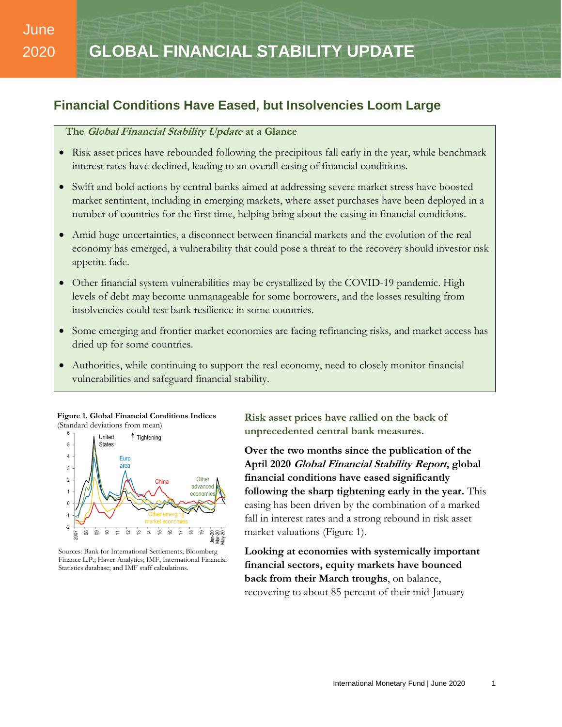# June 2020

## **Financial Conditions Have Eased, but Insolvencies Loom Large**

## **The Global Financial Stability Update at a Glance**

- Risk asset prices have rebounded following the precipitous fall early in the year, while benchmark interest rates have declined, leading to an overall easing of financial conditions.
- Swift and bold actions by central banks aimed at addressing severe market stress have boosted market sentiment, including in emerging markets, where asset purchases have been deployed in a number of countries for the first time, helping bring about the easing in financial conditions.
- Amid huge uncertainties, a disconnect between financial markets and the evolution of the real economy has emerged, a vulnerability that could pose a threat to the recovery should investor risk appetite fade.
- Other financial system vulnerabilities may be crystallized by the COVID-19 pandemic. High levels of debt may become unmanageable for some borrowers, and the losses resulting from insolvencies could test bank resilience in some countries.
- Some emerging and frontier market economies are facing refinancing risks, and market access has dried up for some countries.
- Authorities, while continuing to support the real economy, need to closely monitor financial vulnerabilities and safeguard financial stability.

**Figure 1. Global Financial Conditions Indices** (Standard deviations from mean) 6 -



Sources: Bank for International Settlements; Bloomberg Finance L.P.; Haver Analytics; IMF, International Financial Statistics database; and IMF staff calculations.

**Risk asset prices have rallied on the back of unprecedented central bank measures.**

**Over the two months since the publication of the April 2020 Global Financial Stability Report, global financial conditions have eased significantly following the sharp tightening early in the year.** This easing has been driven by the combination of a marked fall in interest rates and a strong rebound in risk asset market valuations (Figure 1).

**Looking at economies with systemically important financial sectors, equity markets have bounced back from their March troughs**, on balance, recovering to about 85 percent of their mid-January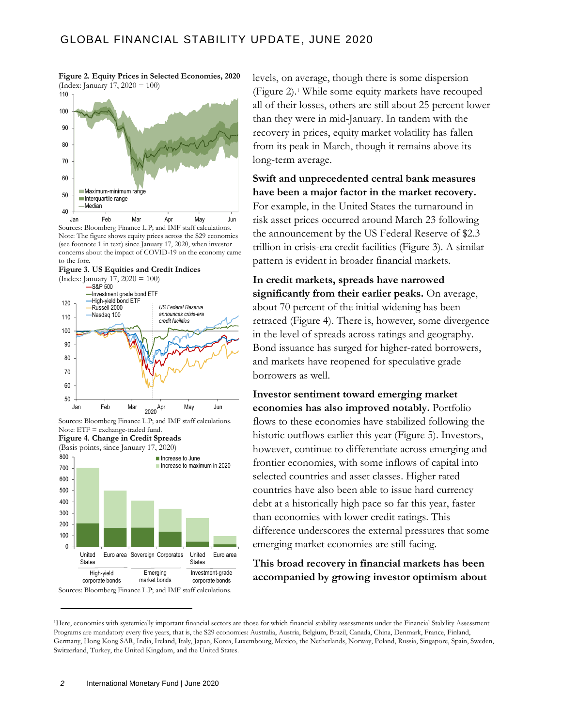

**Figure 2. Equity Prices in Selected Economies, 2020**

Sources: Bloomberg Finance L.P; and IMF staff calculations. Note: The figure shows equity prices across the S29 economies (see footnote 1 in text) since January 17, 2020, when investor concerns about the impact of COVID-19 on the economy came to the fore. Jan Feb Mar Apr May Jun

**Figure 3. US Equities and Credit Indices** (Index: January 17, 2020 = 100)







levels, on average, though there is some dispersion (Figure 2). <sup>1</sup> While some equity markets have recouped all of their losses, others are still about 25 percent lower than they were in mid-January. In tandem with the recovery in prices, equity market volatility has fallen from its peak in March, though it remains above its long-term average.

**Swift and unprecedented central bank measures have been a major factor in the market recovery.** For example, in the United States the turnaround in risk asset prices occurred around March 23 following the announcement by the US Federal Reserve of \$2.3 trillion in crisis-era credit facilities (Figure 3). A similar pattern is evident in broader financial markets.

**In credit markets, spreads have narrowed significantly from their earlier peaks.** On average, about 70 percent of the initial widening has been retraced (Figure 4). There is, however, some divergence in the level of spreads across ratings and geography. Bond issuance has surged for higher-rated borrowers, and markets have reopened for speculative grade borrowers as well.

**Investor sentiment toward emerging market economies has also improved notably.** Portfolio flows to these economies have stabilized following the historic outflows earlier this year (Figure 5). Investors, however, continue to differentiate across emerging and frontier economies, with some inflows of capital into selected countries and asset classes. Higher rated countries have also been able to issue hard currency debt at a historically high pace so far this year, faster than economies with lower credit ratings. This difference underscores the external pressures that some emerging market economies are still facing.

## **This broad recovery in financial markets has been accompanied by growing investor optimism about**

<sup>1</sup>Here, economies with systemically important financial sectors are those for which financial stability assessments under the Financial Stability Assessment Programs are mandatory every five years, that is, the S29 economies: Australia, Austria, Belgium, Brazil, Canada, China, Denmark, France, Finland, Germany, Hong Kong SAR, India, Ireland, Italy, Japan, Korea, Luxembourg, Mexico, the Netherlands, Norway, Poland, Russia, Singapore, Spain, Sweden, Switzerland, Turkey, the United Kingdom, and the United States.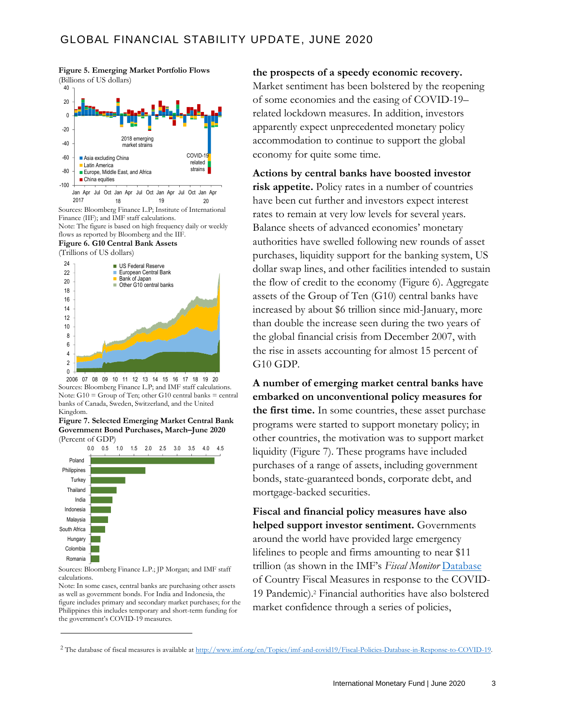**Figure 5. Emerging Market Portfolio Flows** (Billions of US dollars)



Note: The figure is based on high frequency daily or weekly flows as reported by Bloomberg and the IIF. **Figure 6. G10 Central Bank Assets**

(Trillions of US dollars)



Sources: Bloomberg Finance L.P; and IMF staff calculations. Note: G10 = Group of Ten; other G10 central banks = central banks of Canada, Sweden, Switzerland, and the United Kingdom. 06 07 08 09 10 11 12 13 14 15 16 17 18 19 20 20





Sources: Bloomberg Finance L.P.; JP Morgan; and IMF staff calculations.

Note: In some cases, central banks are purchasing other assets as well as government bonds. For India and Indonesia, the figure includes primary and secondary market purchases; for the Philippines this includes temporary and short-term funding for the government's COVID-19 measures.

**the prospects of a speedy economic recovery.**  Market sentiment has been bolstered by the reopening

of some economies and the easing of COVID-19– related lockdown measures. In addition, investors apparently expect unprecedented monetary policy accommodation to continue to support the global economy for quite some time.

**Actions by central banks have boosted investor risk appetite.** Policy rates in a number of countries have been cut further and investors expect interest rates to remain at very low levels for several years. Balance sheets of advanced economies' monetary authorities have swelled following new rounds of asset purchases, liquidity support for the banking system, US dollar swap lines, and other facilities intended to sustain the flow of credit to the economy (Figure 6). Aggregate assets of the Group of Ten (G10) central banks have increased by about \$6 trillion since mid-January, more than double the increase seen during the two years of the global financial crisis from December 2007, with the rise in assets accounting for almost 15 percent of G10 GDP.

**A number of emerging market central banks have embarked on unconventional policy measures for the first time.** In some countries, these asset purchase programs were started to support monetary policy; in other countries, the motivation was to support market liquidity (Figure 7). These programs have included purchases of a range of assets, including government bonds, state-guaranteed bonds, corporate debt, and mortgage-backed securities.

**Fiscal and financial policy measures have also helped support investor sentiment.** Governments around the world have provided large emergency lifelines to people and firms amounting to near \$11 trillion (as shown in the IMF's *Fiscal Monitor* [Database](http://www.imf.org/en/Topics/imf-and-covid19/Fiscal-Policies-Database-in-Response-to-COVID-19) of Country Fiscal Measures in response to the COVID-19 Pandemic).<sup>2</sup> Financial authorities have also bolstered market confidence through a series of policies,

<sup>2</sup> The database of fiscal measures is available a[t http://www.imf.org/en/Topics/imf-and-covid19/Fiscal-Policies-Database-in-Response-to-COVID-19.](http://www.imf.org/en/Topics/imf-and-covid19/Fiscal-Policies-Database-in-Response-to-COVID-19)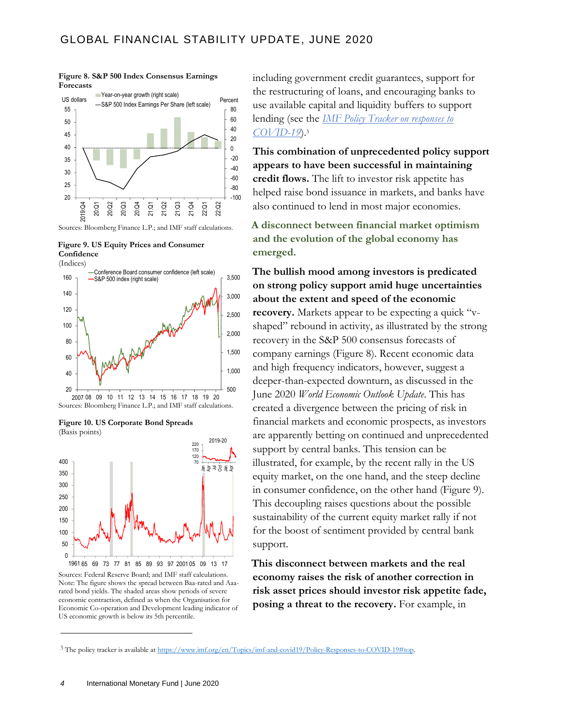**Figure 8. S&P 500 Index Consensus Earnings Forecasts**



Sources: Bloomberg Finance L.P.; and IMF staff calculations.

**Figure 9. US Equity Prices and Consumer Confidence**







Sources: Federal Reserve Board; and IMF staff calculations. Note: The figure shows the spread between Baa-rated and Aaarated bond yields. The shaded areas show periods of severe economic contraction, defined as when the Organisation for Economic Co-operation and Development leading indicator of US economic growth is below its 5th percentile.

including government credit guarantees, support for the restructuring of loans, and encouraging banks to use available capital and liquidity buffers to support lending (see the *[IMF Policy Tracker on responses to](https://www.imf.org/en/Topics/imf-and-covid19/Policy-Responses-to-COVID-19#top)  [COVID-19](https://www.imf.org/en/Topics/imf-and-covid19/Policy-Responses-to-COVID-19#top)*).<sup>3</sup>

**This combination of unprecedented policy support appears to have been successful in maintaining credit flows.** The lift to investor risk appetite has helped raise bond issuance in markets, and banks have also continued to lend in most major economies.

**A disconnect between financial market optimism and the evolution of the global economy has emerged.**

**The bullish mood among investors is predicated on strong policy support amid huge uncertainties about the extent and speed of the economic recovery.** Markets appear to be expecting a quick "vshaped" rebound in activity, as illustrated by the strong recovery in the S&P 500 consensus forecasts of company earnings (Figure 8). Recent economic data and high frequency indicators, however, suggest a deeper-than-expected downturn, as discussed in the June 2020 *World Economic Outlook Update*. This has created a divergence between the pricing of risk in financial markets and economic prospects, as investors are apparently betting on continued and unprecedented support by central banks. This tension can be illustrated, for example, by the recent rally in the US equity market, on the one hand, and the steep decline in consumer confidence, on the other hand (Figure 9). This decoupling raises questions about the possible sustainability of the current equity market rally if not for the boost of sentiment provided by central bank support.

**This disconnect between markets and the real economy raises the risk of another correction in risk asset prices should investor risk appetite fade, posing a threat to the recovery.** For example, in

<sup>3</sup> The policy tracker is available a[t https://www.imf.org/en/Topics/imf-and-covid19/Policy-Responses-to-COVID-19#top.](https://www.imf.org/en/Topics/imf-and-covid19/Policy-Responses-to-COVID-19#top)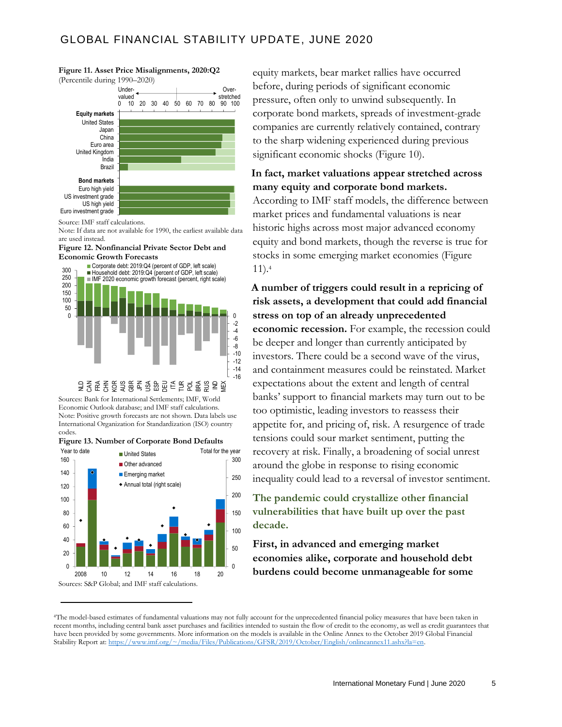## GLOBAL FINANCIAL STABILITY UPDATE, JUNE 2020

### **Figure 11. Asset Price Misalignments, 2020:Q2**



Source: IMF staff calculations.

Note: If data are not available for 1990, the earliest available data are used instead.

#### **Figure 12. Nonfinancial Private Sector Debt and Economic Growth Forecasts**



Sources: Bank for International Settlements; IMF, World Economic Outlook database; and IMF staff calculations. Note: Positive growth forecasts are not shown. Data labels use International Organization for Standardization (ISO) country codes.





equity markets, bear market rallies have occurred before, during periods of significant economic pressure, often only to unwind subsequently. In corporate bond markets, spreads of investment-grade companies are currently relatively contained, contrary to the sharp widening experienced during previous significant economic shocks (Figure 10).

## **In fact, market valuations appear stretched across many equity and corporate bond markets.**

According to IMF staff models, the difference between market prices and fundamental valuations is near historic highs across most major advanced economy equity and bond markets, though the reverse is true for stocks in some emerging market economies (Figure 11).<sup>4</sup>

**A number of triggers could result in a repricing of risk assets, a development that could add financial stress on top of an already unprecedented economic recession.** For example, the recession could be deeper and longer than currently anticipated by investors. There could be a second wave of the virus, and containment measures could be reinstated. Market expectations about the extent and length of central banks' support to financial markets may turn out to be too optimistic, leading investors to reassess their appetite for, and pricing of, risk. A resurgence of trade tensions could sour market sentiment, putting the recovery at risk. Finally, a broadening of social unrest around the globe in response to rising economic inequality could lead to a reversal of investor sentiment.

**The pandemic could crystallize other financial vulnerabilities that have built up over the past decade.** 

**First, in advanced and emerging market economies alike, corporate and household debt burdens could become unmanageable for some** 

<sup>4</sup>The model-based estimates of fundamental valuations may not fully account for the unprecedented financial policy measures that have been taken in recent months, including central bank asset purchases and facilities intended to sustain the flow of credit to the economy, as well as credit guarantees that have been provided by some governments. More information on the models is available in the Online Annex to the October 2019 Global Financial Stability Report at[: https://www.imf.org/~/media/Files/Publications/GFSR/2019/October/English/onlineannex11.ashx?la=en.](https://www.imf.org/~/media/Files/Publications/GFSR/2019/October/English/onlineannex11.ashx?la=en)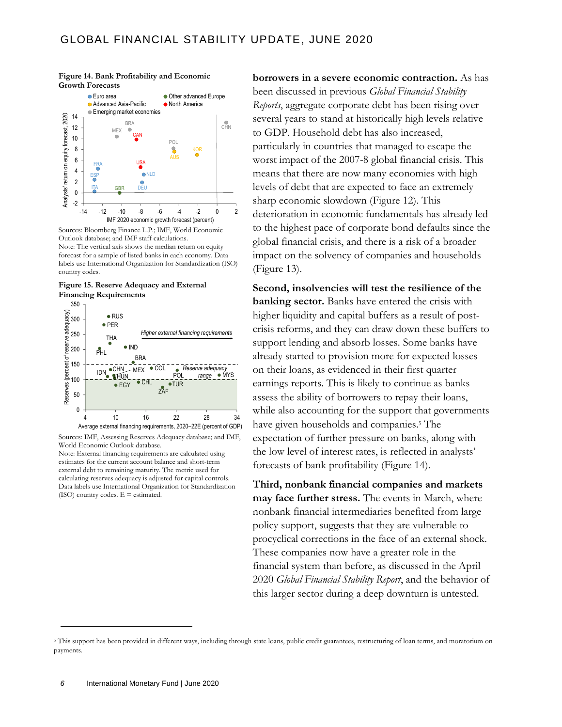

**Figure 14. Bank Profitability and Economic Growth Forecasts**

Sources: Bloomberg Finance L.P.; IMF, World Economic Outlook database; and IMF staff calculations. Note: The vertical axis shows the median return on equity forecast for a sample of listed banks in each economy. Data labels use International Organization for Standardization (ISO) country codes.





Sources: IMF, Assessing Reserves Adequacy database; and IMF, World Economic Outlook database. Note: External financing requirements are calculated using estimates for the current account balance and short-term external debt to remaining maturity. The metric used for calculating reserves adequacy is adjusted for capital controls. Data labels use International Organization for Standardization

(ISO) country codes.  $E =$  estimated.

**borrowers in a severe economic contraction.** As has been discussed in previous *Global Financial Stability Reports*, aggregate corporate debt has been rising over several years to stand at historically high levels relative to GDP. Household debt has also increased, particularly in countries that managed to escape the worst impact of the 2007-8 global financial crisis. This means that there are now many economies with high levels of debt that are expected to face an extremely sharp economic slowdown (Figure 12). This deterioration in economic fundamentals has already led to the highest pace of corporate bond defaults since the global financial crisis, and there is a risk of a broader impact on the solvency of companies and households (Figure 13).

**Second, insolvencies will test the resilience of the banking sector.** Banks have entered the crisis with higher liquidity and capital buffers as a result of postcrisis reforms, and they can draw down these buffers to support lending and absorb losses. Some banks have already started to provision more for expected losses on their loans, as evidenced in their first quarter earnings reports. This is likely to continue as banks assess the ability of borrowers to repay their loans, while also accounting for the support that governments have given households and companies. <sup>5</sup> The expectation of further pressure on banks, along with the low level of interest rates, is reflected in analysts' forecasts of bank profitability (Figure 14).

**Third, nonbank financial companies and markets may face further stress.** The events in March, where nonbank financial intermediaries benefited from large policy support, suggests that they are vulnerable to procyclical corrections in the face of an external shock. These companies now have a greater role in the financial system than before, as discussed in the April 2020 *Global Financial Stability Report*, and the behavior of this larger sector during a deep downturn is untested.

<sup>&</sup>lt;sup>5</sup> This support has been provided in different ways, including through state loans, public credit guarantees, restructuring of loan terms, and moratorium on payments.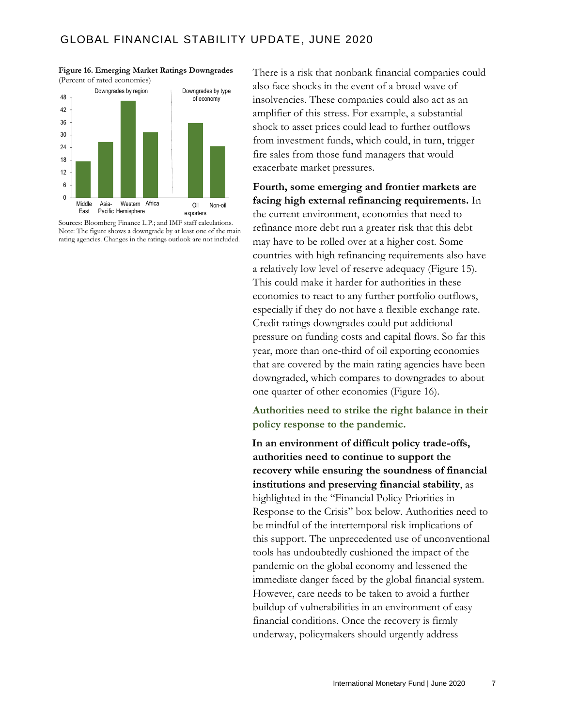

**Figure 16. Emerging Market Ratings Downgrades** (Percent of rated economies)

Sources: Bloomberg Finance L.P.; and IMF staff calculations. Note: The figure shows a downgrade by at least one of the main rating agencies. Changes in the ratings outlook are not included.

There is a risk that nonbank financial companies could also face shocks in the event of a broad wave of insolvencies. These companies could also act as an amplifier of this stress. For example, a substantial shock to asset prices could lead to further outflows from investment funds, which could, in turn, trigger fire sales from those fund managers that would exacerbate market pressures.

## **Fourth, some emerging and frontier markets are facing high external refinancing requirements.** In

the current environment, economies that need to refinance more debt run a greater risk that this debt may have to be rolled over at a higher cost. Some countries with high refinancing requirements also have a relatively low level of reserve adequacy (Figure 15). This could make it harder for authorities in these economies to react to any further portfolio outflows, especially if they do not have a flexible exchange rate. Credit ratings downgrades could put additional pressure on funding costs and capital flows. So far this year, more than one-third of oil exporting economies that are covered by the main rating agencies have been downgraded, which compares to downgrades to about one quarter of other economies (Figure 16).

**Authorities need to strike the right balance in their policy response to the pandemic.**

**In an environment of difficult policy trade-offs, authorities need to continue to support the recovery while ensuring the soundness of financial institutions and preserving financial stability**, as highlighted in the "Financial Policy Priorities in Response to the Crisis" box below. Authorities need to be mindful of the intertemporal risk implications of this support. The unprecedented use of unconventional tools has undoubtedly cushioned the impact of the pandemic on the global economy and lessened the immediate danger faced by the global financial system. However, care needs to be taken to avoid a further buildup of vulnerabilities in an environment of easy financial conditions. Once the recovery is firmly underway, policymakers should urgently address